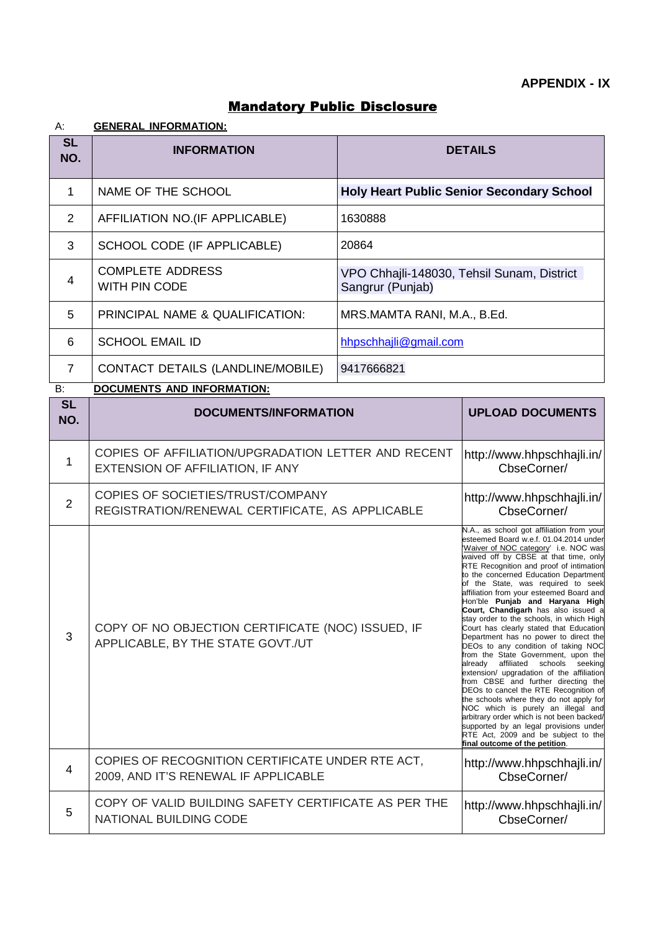| А:               | <b>GENERAL INFORMATION:</b>              |                                                                |
|------------------|------------------------------------------|----------------------------------------------------------------|
| <b>SL</b><br>NO. | <b>INFORMATION</b>                       | <b>DETAILS</b>                                                 |
| 1                | NAME OF THE SCHOOL                       | <b>Holy Heart Public Senior Secondary School</b>               |
| 2                | AFFILIATION NO.(IF APPLICABLE)           | 1630888                                                        |
| 3                | SCHOOL CODE (IF APPLICABLE)              | 20864                                                          |
| 4                | <b>COMPLETE ADDRESS</b><br>WITH PIN CODE | VPO Chhajli-148030, Tehsil Sunam, District<br>Sangrur (Punjab) |
| 5                | PRINCIPAL NAME & QUALIFICATION:          | MRS.MAMTA RANI, M.A., B.Ed.                                    |
| 6                | <b>SCHOOL EMAIL ID</b>                   | hhpschhajli@gmail.com                                          |

# Mandatory Public Disclosure

B: **DOCUMENTS AND INFORMATION:**

7 CONTACT DETAILS (LANDLINE/MOBILE) 9417666821

| <b>SL</b><br>NO. | <b>DOCUMENTS/INFORMATION</b>                                                             | <b>UPLOAD DOCUMENTS</b>                                                                                                                                                                                                                                                                                                                                                                                                                                                                                                                                                                                                                                                                                                                                                                                                                                                                                                                                                                                                                                 |
|------------------|------------------------------------------------------------------------------------------|---------------------------------------------------------------------------------------------------------------------------------------------------------------------------------------------------------------------------------------------------------------------------------------------------------------------------------------------------------------------------------------------------------------------------------------------------------------------------------------------------------------------------------------------------------------------------------------------------------------------------------------------------------------------------------------------------------------------------------------------------------------------------------------------------------------------------------------------------------------------------------------------------------------------------------------------------------------------------------------------------------------------------------------------------------|
| 1                | COPIES OF AFFILIATION/UPGRADATION LETTER AND RECENT<br>EXTENSION OF AFFILIATION, IF ANY  | http://www.hhpschhajli.in/<br>CbseCorner/                                                                                                                                                                                                                                                                                                                                                                                                                                                                                                                                                                                                                                                                                                                                                                                                                                                                                                                                                                                                               |
| $\overline{2}$   | COPIES OF SOCIETIES/TRUST/COMPANY<br>REGISTRATION/RENEWAL CERTIFICATE, AS APPLICABLE     | http://www.hhpschhajli.in/<br>CbseCorner/                                                                                                                                                                                                                                                                                                                                                                                                                                                                                                                                                                                                                                                                                                                                                                                                                                                                                                                                                                                                               |
| 3                | COPY OF NO OBJECTION CERTIFICATE (NOC) ISSUED, IF<br>APPLICABLE, BY THE STATE GOVT./UT   | N.A., as school got affiliation from your<br>esteemed Board w.e.f. 01.04.2014 under<br>'Waiver of NOC category' i.e. NOC was<br>waived off by CBSE at that time, only<br>RTE Recognition and proof of intimation<br>to the concerned Education Department<br>of the State, was required to seek<br>affiliation from your esteemed Board and<br>Hon'ble Punjab and Haryana High<br>Court, Chandigarh has also issued a<br>stay order to the schools, in which High<br>Court has clearly stated that Education<br>Department has no power to direct the<br>DEOs to any condition of taking NOC<br>from the State Government, upon the<br>already affiliated schools seeking<br>extension/ upgradation of the affiliation<br>from CBSE and further directing the<br>DEOs to cancel the RTE Recognition of<br>the schools where they do not apply for<br>NOC which is purely an illegal and<br>arbitrary order which is not been backed/<br>supported by an legal provisions under<br>RTE Act, 2009 and be subject to the<br>final outcome of the petition. |
| 4                | COPIES OF RECOGNITION CERTIFICATE UNDER RTE ACT,<br>2009, AND IT'S RENEWAL IF APPLICABLE | http://www.hhpschhajli.in/<br>CbseCorner/                                                                                                                                                                                                                                                                                                                                                                                                                                                                                                                                                                                                                                                                                                                                                                                                                                                                                                                                                                                                               |
| 5                | COPY OF VALID BUILDING SAFETY CERTIFICATE AS PER THE<br><b>NATIONAL BUILDING CODE</b>    | http://www.hhpschhajli.in/<br>CbseCorner/                                                                                                                                                                                                                                                                                                                                                                                                                                                                                                                                                                                                                                                                                                                                                                                                                                                                                                                                                                                                               |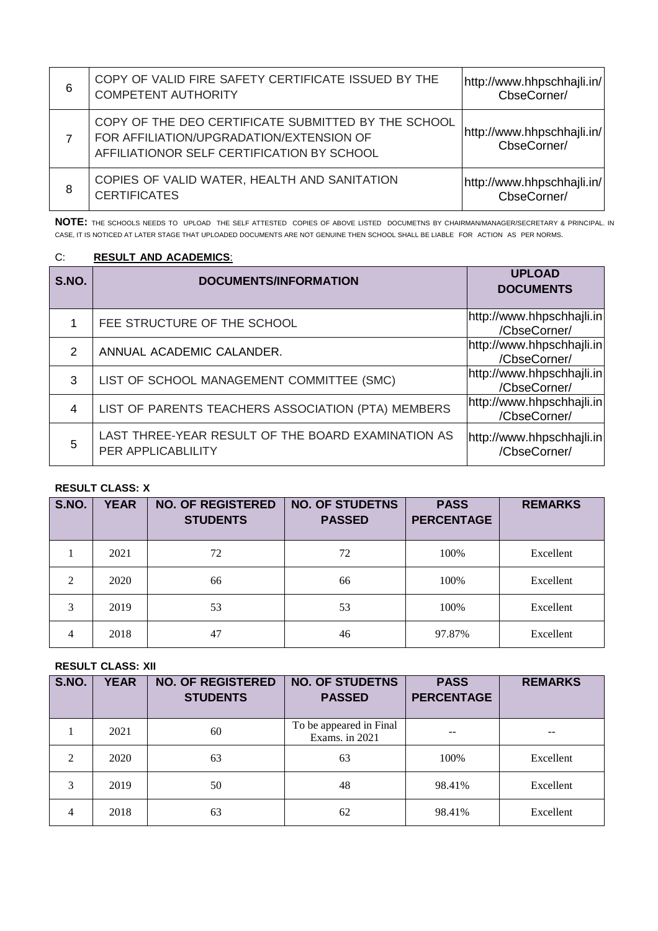| 6 | COPY OF VALID FIRE SAFETY CERTIFICATE ISSUED BY THE<br><b>COMPETENT AUTHORITY</b>                                                             | http://www.hhpschhajli.in/<br>CbseCorner/ |
|---|-----------------------------------------------------------------------------------------------------------------------------------------------|-------------------------------------------|
|   | COPY OF THE DEO CERTIFICATE SUBMITTED BY THE SCHOOL<br>FOR AFFILIATION/UPGRADATION/EXTENSION OF<br>AFFILIATIONOR SELF CERTIFICATION BY SCHOOL | http://www.hhpschhajli.in/<br>CbseCorner/ |
| 8 | COPIES OF VALID WATER, HEALTH AND SANITATION<br><b>CERTIFICATES</b>                                                                           | http://www.hhpschhajli.in/<br>CbseCorner/ |

**NOTE:** THE SCHOOLS NEEDS TO UPLOAD THE SELF ATTESTED COPIES OF ABOVE LISTED DOCUMETNS BY CHAIRMAN/MANAGER/SECRETARY & PRINCIPAL. IN CASE, IT IS NOTICED AT LATER STAGE THAT UPLOADED DOCUMENTS ARE NOT GENUINE THEN SCHOOL SHALL BE LIABLE FOR ACTION AS PER NORMS.

#### C: **RESULT AND ACADEMICS**:

| S.NO.         | <b>DOCUMENTS/INFORMATION</b>                                             | <b>UPLOAD</b><br><b>DOCUMENTS</b>         |
|---------------|--------------------------------------------------------------------------|-------------------------------------------|
|               | FEE STRUCTURE OF THE SCHOOL                                              | http://www.hhpschhajli.in<br>/CbseCorner/ |
| $\mathcal{P}$ | ANNUAL ACADEMIC CALANDER.                                                | http://www.hhpschhajli.in<br>/CbseCorner/ |
| 3             | LIST OF SCHOOL MANAGEMENT COMMITTEE (SMC)                                | http://www.hhpschhajli.in<br>/CbseCorner/ |
| 4             | LIST OF PARENTS TEACHERS ASSOCIATION (PTA) MEMBERS                       | http://www.hhpschhajli.in<br>/CbseCorner/ |
| 5             | LAST THREE-YEAR RESULT OF THE BOARD EXAMINATION AS<br>PER APPLICABLILITY | http://www.hhpschhajli.in<br>/CbseCorner/ |

### **RESULT CLASS: X**

| S.NO.          | <b>YEAR</b> | <b>NO. OF REGISTERED</b><br><b>STUDENTS</b> | <b>NO. OF STUDETNS</b><br><b>PASSED</b> | <b>PASS</b><br><b>PERCENTAGE</b> | <b>REMARKS</b> |
|----------------|-------------|---------------------------------------------|-----------------------------------------|----------------------------------|----------------|
|                | 2021        | 72                                          | 72                                      | 100%                             | Excellent      |
| $\mathfrak{D}$ | 2020        | 66                                          | 66                                      | 100%                             | Excellent      |
| 3              | 2019        | 53                                          | 53                                      | 100%                             | Excellent      |
| $\overline{4}$ | 2018        | 47                                          | 46                                      | 97.87%                           | Excellent      |

## **RESULT CLASS: XII**

| S.NO.         | <b>YEAR</b> | <b>NO. OF REGISTERED</b><br><b>STUDENTS</b> | <b>NO. OF STUDETNS</b><br><b>PASSED</b>   | <b>PASS</b><br><b>PERCENTAGE</b> | <b>REMARKS</b> |
|---------------|-------------|---------------------------------------------|-------------------------------------------|----------------------------------|----------------|
|               | 2021        | 60                                          | To be appeared in Final<br>Exams. in 2021 |                                  |                |
| $\mathcal{L}$ | 2020        | 63                                          | 63                                        | 100%                             | Excellent      |
| 3             | 2019        | 50                                          | 48                                        | 98.41%                           | Excellent      |
| 4             | 2018        | 63                                          | 62                                        | 98.41%                           | Excellent      |